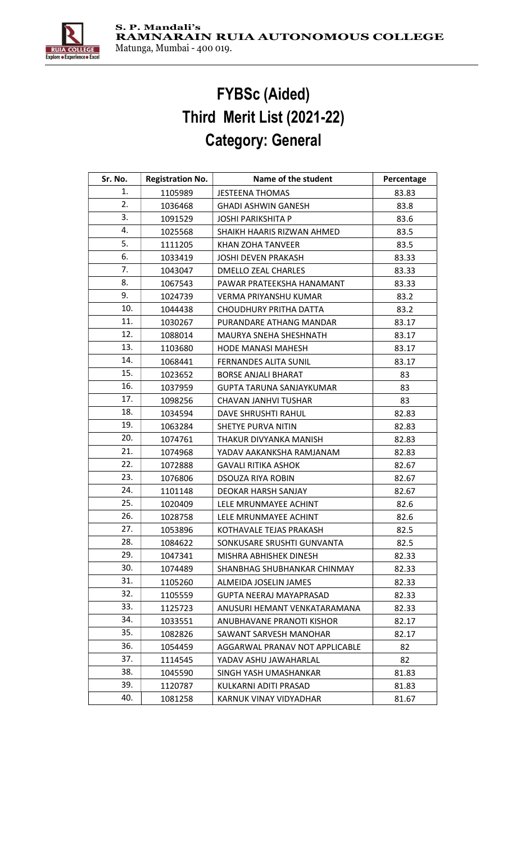

## FYBSc (Aided) Third Merit List (2021-22) Category: General

| Sr. No. | <b>Registration No.</b> | Name of the student             | Percentage |
|---------|-------------------------|---------------------------------|------------|
| 1.      | 1105989                 | <b>JESTEENA THOMAS</b>          | 83.83      |
| 2.      | 1036468                 | <b>GHADI ASHWIN GANESH</b>      | 83.8       |
| 3.      | 1091529                 | <b>JOSHI PARIKSHITA P</b>       | 83.6       |
| 4.      | 1025568                 | SHAIKH HAARIS RIZWAN AHMED      | 83.5       |
| 5.      | 1111205                 | KHAN ZOHA TANVEER               | 83.5       |
| 6.      | 1033419                 | JOSHI DEVEN PRAKASH             | 83.33      |
| 7.      | 1043047                 | <b>DMELLO ZEAL CHARLES</b>      | 83.33      |
| 8.      | 1067543                 | PAWAR PRATEEKSHA HANAMANT       | 83.33      |
| 9.      | 1024739                 | <b>VERMA PRIYANSHU KUMAR</b>    | 83.2       |
| 10.     | 1044438                 | <b>CHOUDHURY PRITHA DATTA</b>   | 83.2       |
| 11.     | 1030267                 | PURANDARE ATHANG MANDAR         | 83.17      |
| 12.     | 1088014                 | MAURYA SNEHA SHESHNATH          | 83.17      |
| 13.     | 1103680                 | <b>HODE MANASI MAHESH</b>       | 83.17      |
| 14.     | 1068441                 | FERNANDES ALITA SUNIL           | 83.17      |
| 15.     | 1023652                 | <b>BORSE ANJALI BHARAT</b>      | 83         |
| 16.     | 1037959                 | <b>GUPTA TARUNA SANJAYKUMAR</b> | 83         |
| 17.     | 1098256                 | <b>CHAVAN JANHVI TUSHAR</b>     | 83         |
| 18.     | 1034594                 | DAVE SHRUSHTI RAHUL             | 82.83      |
| 19.     | 1063284                 | SHETYE PURVA NITIN              | 82.83      |
| 20.     | 1074761                 | THAKUR DIVYANKA MANISH          | 82.83      |
| 21.     | 1074968                 | YADAV AAKANKSHA RAMJANAM        | 82.83      |
| 22.     | 1072888                 | <b>GAVALI RITIKA ASHOK</b>      | 82.67      |
| 23.     | 1076806                 | <b>DSOUZA RIYA ROBIN</b>        | 82.67      |
| 24.     | 1101148                 | DEOKAR HARSH SANJAY             | 82.67      |
| 25.     | 1020409                 | LELE MRUNMAYEE ACHINT           | 82.6       |
| 26.     | 1028758                 | LELE MRUNMAYEE ACHINT           | 82.6       |
| 27.     | 1053896                 | KOTHAVALE TEJAS PRAKASH         | 82.5       |
| 28.     | 1084622                 | SONKUSARE SRUSHTI GUNVANTA      | 82.5       |
| 29.     | 1047341                 | MISHRA ABHISHEK DINESH          | 82.33      |
| 30.     | 1074489                 | SHANBHAG SHUBHANKAR CHINMAY     | 82.33      |
| 31.     | 1105260                 | ALMEIDA JOSELIN JAMES           | 82.33      |
| 32.     | 1105559                 | <b>GUPTA NEERAJ MAYAPRASAD</b>  | 82.33      |
| 33.     | 1125723                 | ANUSURI HEMANT VENKATARAMANA    | 82.33      |
| 34.     | 1033551                 | ANUBHAVANE PRANOTI KISHOR       | 82.17      |
| 35.     | 1082826                 | SAWANT SARVESH MANOHAR          | 82.17      |
| 36.     | 1054459                 | AGGARWAL PRANAV NOT APPLICABLE  | 82         |
| 37.     | 1114545                 | YADAV ASHU JAWAHARLAL           | 82         |
| 38.     | 1045590                 | SINGH YASH UMASHANKAR           | 81.83      |
| 39.     | 1120787                 | KULKARNI ADITI PRASAD           | 81.83      |
| 40.     | 1081258                 | KARNUK VINAY VIDYADHAR          | 81.67      |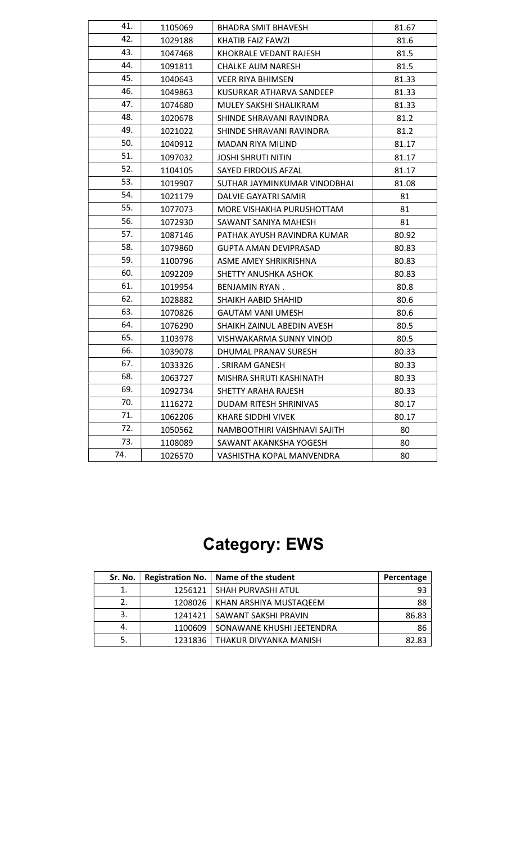| 41. | 1105069 | <b>BHADRA SMIT BHAVESH</b>   | 81.67 |
|-----|---------|------------------------------|-------|
| 42. | 1029188 | KHATIB FAIZ FAWZI            | 81.6  |
| 43. | 1047468 | KHOKRALE VEDANT RAJESH       | 81.5  |
| 44. | 1091811 | <b>CHALKE AUM NARESH</b>     | 81.5  |
| 45. | 1040643 | <b>VEER RIYA BHIMSEN</b>     | 81.33 |
| 46. | 1049863 | KUSURKAR ATHARVA SANDEEP     | 81.33 |
| 47. | 1074680 | MULEY SAKSHI SHALIKRAM       | 81.33 |
| 48. | 1020678 | SHINDE SHRAVANI RAVINDRA     | 81.2  |
| 49. | 1021022 | SHINDE SHRAVANI RAVINDRA     | 81.2  |
| 50. | 1040912 | MADAN RIYA MILIND            | 81.17 |
| 51. | 1097032 | <b>JOSHI SHRUTI NITIN</b>    | 81.17 |
| 52. | 1104105 | SAYED FIRDOUS AFZAL          | 81.17 |
| 53. | 1019907 | SUTHAR JAYMINKUMAR VINODBHAI | 81.08 |
| 54. | 1021179 | DALVIE GAYATRI SAMIR         | 81    |
| 55. | 1077073 | MORE VISHAKHA PURUSHOTTAM    | 81    |
| 56. | 1072930 | SAWANT SANIYA MAHESH         | 81    |
| 57. | 1087146 | PATHAK AYUSH RAVINDRA KUMAR  | 80.92 |
| 58. | 1079860 | <b>GUPTA AMAN DEVIPRASAD</b> | 80.83 |
| 59. | 1100796 | ASME AMEY SHRIKRISHNA        | 80.83 |
| 60. | 1092209 | SHETTY ANUSHKA ASHOK         | 80.83 |
| 61. | 1019954 | BENJAMIN RYAN.               | 80.8  |
| 62. | 1028882 | SHAIKH AABID SHAHID          | 80.6  |
| 63. | 1070826 | <b>GAUTAM VANI UMESH</b>     | 80.6  |
| 64. | 1076290 | SHAIKH ZAINUL ABEDIN AVESH   | 80.5  |
| 65. | 1103978 | VISHWAKARMA SUNNY VINOD      | 80.5  |
| 66. | 1039078 | DHUMAL PRANAV SURESH         | 80.33 |
| 67. | 1033326 | . SRIRAM GANESH              | 80.33 |
| 68. | 1063727 | MISHRA SHRUTI KASHINATH      | 80.33 |
| 69. | 1092734 | SHETTY ARAHA RAJESH          | 80.33 |
| 70. | 1116272 | DUDAM RITESH SHRINIVAS       | 80.17 |
| 71. | 1062206 | KHARE SIDDHI VIVEK           | 80.17 |
| 72. | 1050562 | NAMBOOTHIRI VAISHNAVI SAJITH | 80    |
| 73. | 1108089 | SAWANT AKANKSHA YOGESH       | 80    |
| 74. | 1026570 | VASHISTHA KOPAL MANVENDRA    | 80    |
|     |         |                              |       |

## Category: EWS

| Sr. No. |         | Registration No.   Name of the student | Percentage |
|---------|---------|----------------------------------------|------------|
|         | 1256121 | SHAH PURVASHI ATUL                     | 93         |
| 2.      | 1208026 | KHAN ARSHIYA MUSTAQEEM                 | 88         |
| 3.      | 1241421 | SAWANT SAKSHI PRAVIN                   | 86.83      |
| 4.      | 1100609 | SONAWANE KHUSHI JEETENDRA              | 86         |
| 5.      | 1231836 | l THAKUR DIVYANKA MANISH               | 82.83      |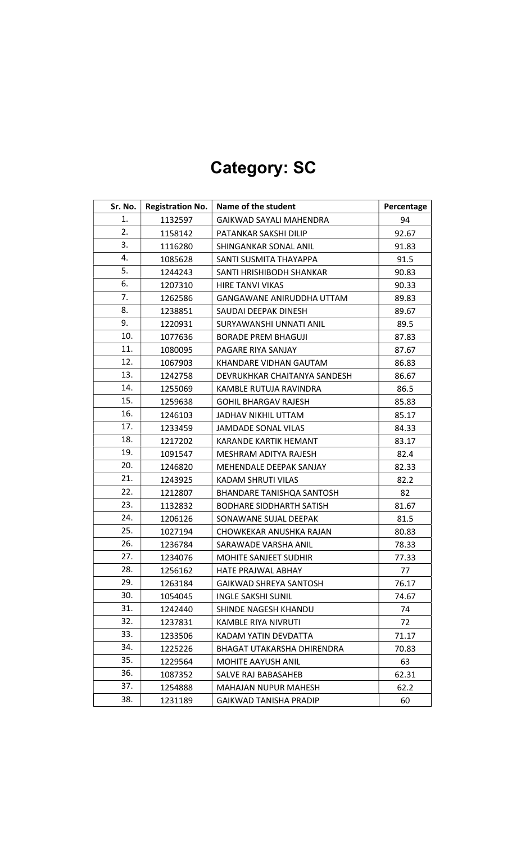| Sr. No. | <b>Registration No.</b> | Name of the student               | Percentage |
|---------|-------------------------|-----------------------------------|------------|
| 1.      | 1132597                 | GAIKWAD SAYALI MAHENDRA           | 94         |
| 2.      | 1158142                 | PATANKAR SAKSHI DILIP             | 92.67      |
| 3.      | 1116280                 | SHINGANKAR SONAL ANIL             | 91.83      |
| 4.      | 1085628                 | SANTI SUSMITA THAYAPPA            | 91.5       |
| 5.      | 1244243                 | SANTI HRISHIBODH SHANKAR          | 90.83      |
| 6.      | 1207310                 | HIRE TANVI VIKAS                  | 90.33      |
| 7.      | 1262586                 | GANGAWANE ANIRUDDHA UTTAM         | 89.83      |
| 8.      | 1238851                 | SAUDAI DEEPAK DINESH              | 89.67      |
| 9.      | 1220931                 | SURYAWANSHI UNNATI ANIL           | 89.5       |
| 10.     | 1077636                 | <b>BORADE PREM BHAGUJI</b>        | 87.83      |
| 11.     | 1080095                 | PAGARE RIYA SANJAY                | 87.67      |
| 12.     | 1067903                 | KHANDARE VIDHAN GAUTAM            | 86.83      |
| 13.     | 1242758                 | DEVRUKHKAR CHAITANYA SANDESH      | 86.67      |
| 14.     | 1255069                 | KAMBLE RUTUJA RAVINDRA            | 86.5       |
| 15.     | 1259638                 | <b>GOHIL BHARGAV RAJESH</b>       | 85.83      |
| 16.     | 1246103                 | JADHAV NIKHIL UTTAM               | 85.17      |
| 17.     | 1233459                 | <b>JAMDADE SONAL VILAS</b>        | 84.33      |
| 18.     | 1217202                 | KARANDE KARTIK HEMANT             | 83.17      |
| 19.     | 1091547                 | MESHRAM ADITYA RAJESH             | 82.4       |
| 20.     | 1246820                 | MEHENDALE DEEPAK SANJAY           | 82.33      |
| 21.     | 1243925                 | KADAM SHRUTI VILAS                | 82.2       |
| 22.     | 1212807                 | BHANDARE TANISHQA SANTOSH         | 82         |
| 23.     | 1132832                 | <b>BODHARE SIDDHARTH SATISH</b>   | 81.67      |
| 24.     | 1206126                 | SONAWANE SUJAL DEEPAK             | 81.5       |
| 25.     | 1027194                 | CHOWKEKAR ANUSHKA RAJAN           | 80.83      |
| 26.     | 1236784                 | SARAWADE VARSHA ANIL              | 78.33      |
| 27.     | 1234076                 | <b>MOHITE SANJEET SUDHIR</b>      | 77.33      |
| 28.     | 1256162                 | <b>HATE PRAJWAL ABHAY</b>         | 77         |
| 29.     | 1263184                 | GAIKWAD SHREYA SANTOSH            | 76.17      |
| 30.     | 1054045                 | <b>INGLE SAKSHI SUNIL</b>         | 74.67      |
| 31.     | 1242440                 | SHINDE NAGESH KHANDU              | 74         |
| 32.     | 1237831                 | KAMBLE RIYA NIVRUTI               | 72         |
| 33.     | 1233506                 | KADAM YATIN DEVDATTA              | 71.17      |
| 34.     | 1225226                 | <b>BHAGAT UTAKARSHA DHIRENDRA</b> | 70.83      |
| 35.     | 1229564                 | <b>MOHITE AAYUSH ANIL</b>         | 63         |
| 36.     | 1087352                 | SALVE RAJ BABASAHEB               | 62.31      |
| 37.     | 1254888                 | <b>MAHAJAN NUPUR MAHESH</b>       | 62.2       |
| 38.     | 1231189                 | <b>GAIKWAD TANISHA PRADIP</b>     | 60         |

# Category: SC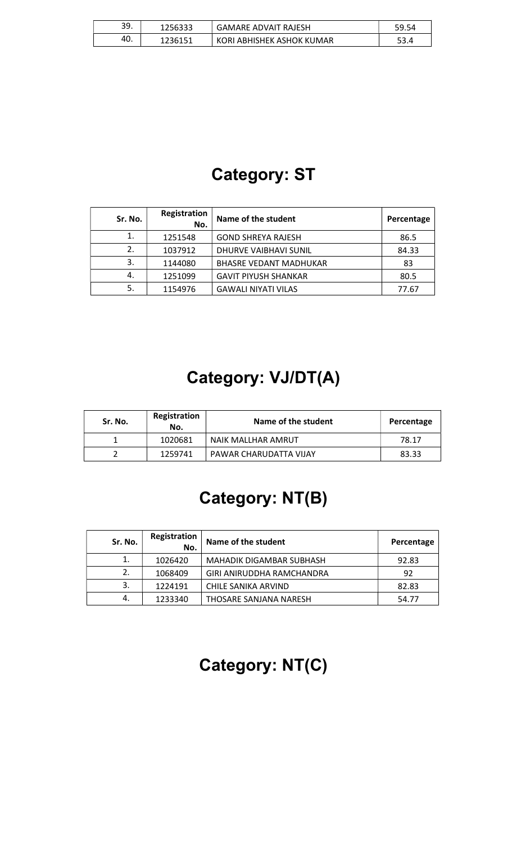| 39. | 1256333 | <b>GAMARE ADVAIT RAJESH</b> | 59.54 |
|-----|---------|-----------------------------|-------|
| 40. | 1236151 | KORI ABHISHEK ASHOK KUMAR   |       |

### Category: ST

| Sr. No. | Registration<br>No. | Name of the student           | Percentage |
|---------|---------------------|-------------------------------|------------|
| 1.      | 1251548             | <b>GOND SHREYA RAJESH</b>     | 86.5       |
| 2.      | 1037912             | DHURVE VAIBHAVI SUNIL         | 84.33      |
| 3.      | 1144080             | <b>BHASRE VEDANT MADHUKAR</b> | 83         |
| 4.      | 1251099             | <b>GAVIT PIYUSH SHANKAR</b>   | 80.5       |
| 5.      | 1154976             | <b>GAWALI NIYATI VILAS</b>    | 77.67      |

# Category: VJ/DT(A)

| Sr. No. | Registration<br>No. | Name of the student    | Percentage |
|---------|---------------------|------------------------|------------|
|         | 1020681             | NAIK MALLHAR AMRUT     | 78.17      |
|         | 1259741             | PAWAR CHARUDATTA VIJAY | 83.33      |

#### Category: NT(B)

| Sr. No. | Registration<br>No. | Name of the student       | Percentage |
|---------|---------------------|---------------------------|------------|
| 1.      | 1026420             | MAHADIK DIGAMBAR SUBHASH  | 92.83      |
| 2.      | 1068409             | GIRI ANIRUDDHA RAMCHANDRA | 92         |
| 3.      | 1224191             | CHILE SANIKA ARVIND       | 82.83      |
| 4.      | 1233340             | THOSARE SANJANA NARESH    | 54.77      |

# Category: NT(C)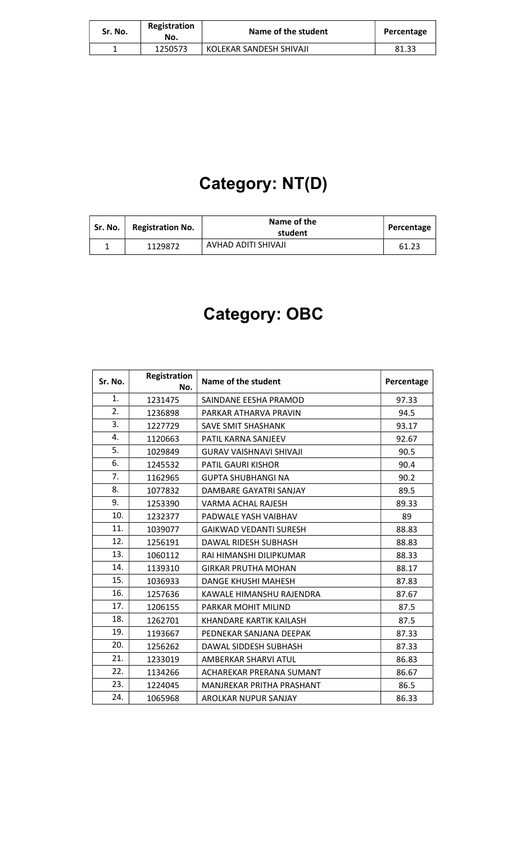| Sr. No. | Registration<br>No. | Name of the student     | Percentage |
|---------|---------------------|-------------------------|------------|
|         | 1250573             | KOLEKAR SANDESH SHIVAJI | 81.33      |

# Category: NT(D)

| Sr. No. | <b>Registration No.</b> | Name of the<br>student | Percentage |
|---------|-------------------------|------------------------|------------|
|         | 1129872                 | AVHAD ADITI SHIVAJI    | 61.23      |

# Category: OBC

| Sr. No. | Registration<br>No. | Name of the student           | Percentage |
|---------|---------------------|-------------------------------|------------|
| 1.      | 1231475             | SAINDANE EESHA PRAMOD         | 97.33      |
| 2.      | 1236898             | PARKAR ATHARVA PRAVIN         | 94.5       |
| 3.      | 1227729             | <b>SAVE SMIT SHASHANK</b>     | 93.17      |
| 4.      | 1120663             | PATIL KARNA SANJEEV           | 92.67      |
| 5.      | 1029849             | GURAV VAISHNAVI SHIVAJI       | 90.5       |
| 6.      | 1245532             | <b>PATIL GAURI KISHOR</b>     | 90.4       |
| 7.      | 1162965             | GUPTA SHUBHANGI NA            | 90.2       |
| 8.      | 1077832             | DAMBARE GAYATRI SANJAY        | 89.5       |
| 9.      | 1253390             | VARMA ACHAL RAJESH            | 89.33      |
| 10.     | 1232377             | PADWALE YASH VAIBHAV          | 89         |
| 11.     | 1039077             | <b>GAIKWAD VEDANTI SURESH</b> | 88.83      |
| 12.     | 1256191             | <b>DAWAL RIDESH SUBHASH</b>   | 88.83      |
| 13.     | 1060112             | RAI HIMANSHI DILIPKUMAR       | 88.33      |
| 14.     | 1139310             | <b>GIRKAR PRUTHA MOHAN</b>    | 88.17      |
| 15.     | 1036933             | DANGE KHUSHI MAHESH           | 87.83      |
| 16.     | 1257636             | KAWALE HIMANSHU RAJENDRA      | 87.67      |
| 17.     | 1206155             | PARKAR MOHIT MILIND           | 87.5       |
| 18.     | 1262701             | KHANDARE KARTIK KAILASH       | 87.5       |
| 19.     | 1193667             | PEDNEKAR SANJANA DEEPAK       | 87.33      |
| 20.     | 1256262             | DAWAL SIDDESH SUBHASH         | 87.33      |
| 21.     | 1233019             | AMBERKAR SHARVI ATUL          | 86.83      |
| 22.     | 1134266             | ACHAREKAR PRERANA SUMANT      | 86.67      |
| 23.     | 1224045             | MANJREKAR PRITHA PRASHANT     | 86.5       |
| 24.     | 1065968             | AROLKAR NUPUR SANJAY          | 86.33      |